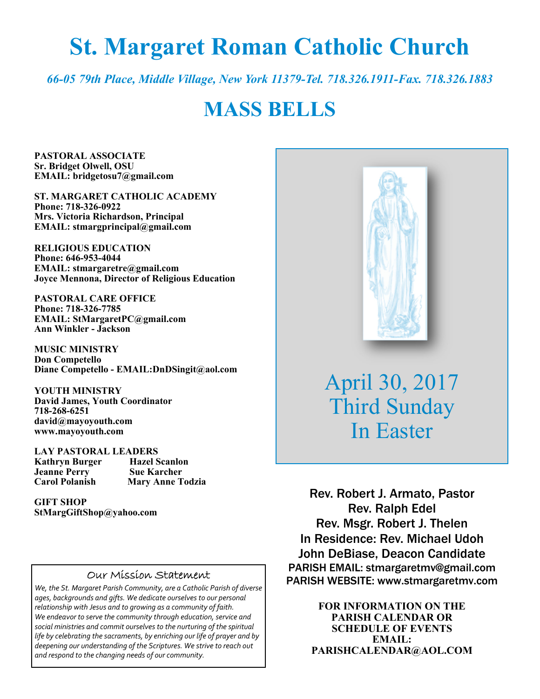# **St. Margaret Roman Catholic Church**

*66-05 79th Place, Middle Village, New York 11379-Tel. 718.326.1911-Fax. 718.326.1883* 

# **MASS BELLS**

**PASTORAL ASSOCIATE Sr. Bridget Olwell, OSU EMAIL: bridgetosu7@gmail.com** 

**ST. MARGARET CATHOLIC ACADEMY Phone: 718-326-0922 Mrs. Victoria Richardson, Principal EMAIL: stmargprincipal@gmail.com** 

**RELIGIOUS EDUCATION Phone: 646-953-4044 EMAIL: stmargaretre@gmail.com Joyce Mennona, Director of Religious Education** 

**PASTORAL CARE OFFICE Phone: 718-326-7785 EMAIL: StMargaretPC@gmail.com Ann Winkler - Jackson** 

**MUSIC MINISTRY Don Competello Diane Competello - EMAIL:DnDSingit@aol.com** 

**YOUTH MINISTRY David James, Youth Coordinator 718-268-6251 david@mayoyouth.com www.mayoyouth.com** 

**LAY PASTORAL LEADERS Kathryn Burger Hazel Scanlo**<br> **Jeanne Perry Sue Karcher Jeanne Perry Carol Polanish Mary Anne Todzia** 

**GIFT SHOP StMargGiftShop@yahoo.com**

#### Our Mission Statement

*We, the St. Margaret Parish Community, are a Catholic Parish of diverse ages, backgrounds and gifts. We dedicate ourselves to our personal relationship with Jesus and to growing as a community of faith. We endeavor to serve the community through education, service and social ministries and commit ourselves to the nurturing of the spiritual life by celebrating the sacraments, by enriching our life of prayer and by deepening our understanding of the Scriptures. We strive to reach out and respond to the changing needs of our community.*



April 30, 2017 Third Sunday In Easter

Rev. Robert J. Armato, Pastor Rev. Ralph Edel Rev. Msgr. Robert J. Thelen In Residence: Rev. Michael Udoh John DeBiase, Deacon Candidate PARISH EMAIL: stmargaretmv@gmail.com PARISH WEBSITE: www.stmargaretmv.com

> **FOR INFORMATION ON THE PARISH CALENDAR OR SCHEDULE OF EVENTS EMAIL: PARISHCALENDAR@AOL.COM**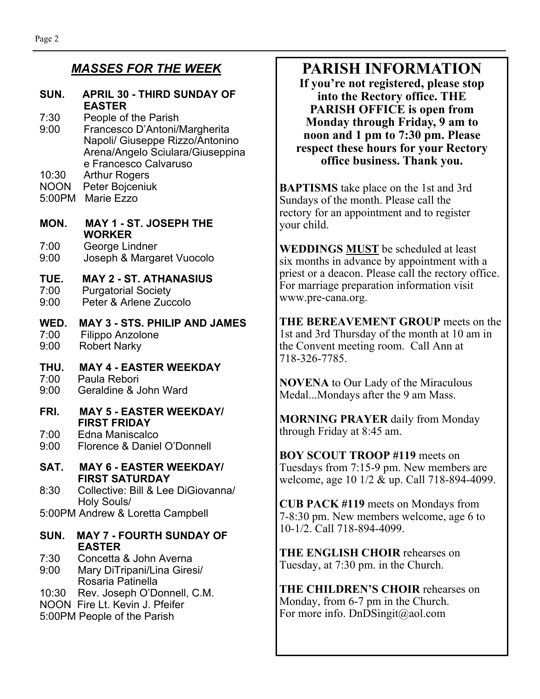### *MASSES FOR THE WEEK*

#### **SUN. APRIL 30 - THIRD SUNDAY OF EASTER**

- 7:30 People of the Parish 9:00 Francesco D'Antoni/Margherita Napoli/ Giuseppe Rizzo/Antonino Arena/Angelo Sciulara/Giuseppina e Francesco Calvaruso
- 10:30 Arthur Rogers
- NOON Peter Bojceniuk
- 5:00PM Marie Ezzo

#### **MON. MAY 1 - ST. JOSEPH THE WORKER**

7:00 George Lindner 9:00 Joseph & Margaret Vuocolo

# **TUE. MAY 2 - ST. ATHANASIUS**

- Purgatorial Society
- 9:00 Peter & Arlene Zuccolo

#### **WED. MAY 3 - STS. PHILIP AND JAMES**  7:00 Filippo Anzolone 9:00 Robert Narky

## **THU. MAY 4 - EASTER WEEKDAY**

- 7:00 Paula Rebori<br>9:00 Geraldine & J
- Geraldine & John Ward
- **FRI. MAY 5 EASTER WEEKDAY/ FIRST FRIDAY**

7:00 Edna Maniscalco

9:00 Florence & Daniel O'Donnell

#### **SAT. MAY 6 - EASTER WEEKDAY/ FIRST SATURDAY**

8:30 Collective: Bill & Lee DiGiovanna/ Holy Souls/

5:00PM Andrew & Loretta Campbell

#### **SUN. MAY 7 - FOURTH SUNDAY OF EASTER**

- 7:30 Concetta & John Averna
- 9:00 Mary DiTripani/Lina Giresi/ Rosaria Patinella
- 10:30 Rev. Joseph O'Donnell, C.M.
- NOON Fire Lt. Kevin J. Pfeifer
- 5:00PM People of the Parish

# **PARISH INFORMATION**

**If you're not registered, please stop into the Rectory office. THE PARISH OFFICE is open from Monday through Friday, 9 am to noon and 1 pm to 7:30 pm. Please respect these hours for your Rectory office business. Thank you.** 

**BAPTISMS** take place on the 1st and 3rd Sundays of the month. Please call the rectory for an appointment and to register your child.

**WEDDINGS MUST** be scheduled at least six months in advance by appointment with a priest or a deacon. Please call the rectory office. For marriage preparation information visit www.pre-cana.org.

**THE BEREAVEMENT GROUP** meets on the 1st and 3rd Thursday of the month at 10 am in the Convent meeting room. Call Ann at 718-326-7785.

**NOVENA** to Our Lady of the Miraculous Medal...Mondays after the 9 am Mass.

**MORNING PRAYER** daily from Monday through Friday at 8:45 am.

**BOY SCOUT TROOP #119** meets on Tuesdays from 7:15-9 pm. New members are welcome, age 10 1/2 & up. Call 718-894-4099.

**CUB PACK #119** meets on Mondays from 7-8:30 pm. New members welcome, age 6 to 10-1/2. Call 718-894-4099.

**THE ENGLISH CHOIR** rehearses on Tuesday, at 7:30 pm. in the Church.

**THE CHILDREN'S CHOIR** rehearses on Monday, from 6-7 pm in the Church. For more info. DnDSingit@aol.com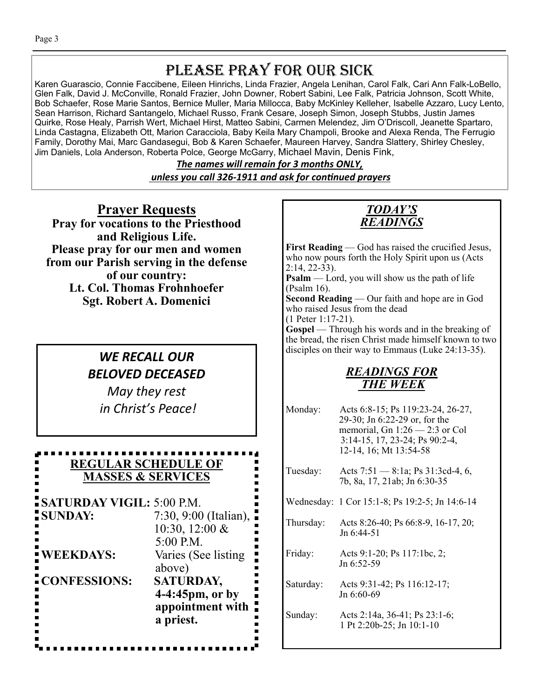# PLEASE PRAY FOR OUR SICK

Karen Guarascio, Connie Faccibene, Eileen Hinrichs, Linda Frazier, Angela Lenihan, Carol Falk, Cari Ann Falk-LoBello, Glen Falk, David J. McConville, Ronald Frazier, John Downer, Robert Sabini, Lee Falk, Patricia Johnson, Scott White, Bob Schaefer, Rose Marie Santos, Bernice Muller, Maria Millocca, Baby McKinley Kelleher, Isabelle Azzaro, Lucy Lento, Sean Harrison, Richard Santangelo, Michael Russo, Frank Cesare, Joseph Simon, Joseph Stubbs, Justin James Quirke, Rose Healy, Parrish Wert, Michael Hirst, Matteo Sabini, Carmen Melendez, Jim O'Driscoll, Jeanette Spartaro, Linda Castagna, Elizabeth Ott, Marion Caracciola, Baby Keila Mary Champoli, Brooke and Alexa Renda, The Ferrugio Family, Dorothy Mai, Marc Gandasegui, Bob & Karen Schaefer, Maureen Harvey, Sandra Slattery, Shirley Chesley, Jim Daniels, Lola Anderson, Roberta Polce, George McGarry, Michael Mavin, Denis Fink,

> *The names will remain for 3 months ONLY, unless you call 326-1911 and ask for conƟnued prayers*

**Prayer Requests Pray for vocations to the Priesthood and Religious Life. Please pray for our men and women from our Parish serving in the defense of our country: Lt. Col. Thomas Frohnhoefer Sgt. Robert A. Domenici** 

## *WE RECALL OUR BELOVED DECEASED*

*May they rest in Christ's Peace!* 

#### **REGULAR SCHEDULE OF MASSES & SERVICES**

**SATURDAY VIGIL:** 5:00 P.M. **SUNDAY:** 7:30, 9:00 (Italian), 10:30, 12:00 & 5:00 P.M. **WEEKDAYS:** Varies (See listing above) **CONFESSIONS: SATURDAY, 4-4:45pm, or by appointment with** 

 **a priest.**



First Reading — God has raised the crucified Jesus, who now pours forth the Holy Spirit upon us (Acts 2:14, 22-33).

**Psalm** — Lord, you will show us the path of life (Psalm 16).

**Second Reading** — Our faith and hope are in God who raised Jesus from the dead

(1 Peter 1:17-21). **Gospel** — Through his words and in the breaking of

the bread, the risen Christ made himself known to two disciples on their way to Emmaus (Luke 24:13-35).

## *READINGS FOR THE WEEK*

Monday: Acts 6:8-15; Ps 119:23-24, 26-27, 29-30; Jn 6:22-29 or, for the memorial, Gn  $1:26 - 2:3$  or Col 3:14-15, 17, 23-24; Ps 90:2-4, 12-14, 16; Mt 13:54-58 Tuesday: Acts 7:51 — 8:1a; Ps 31:3cd-4, 6, 7b, 8a, 17, 21ab; Jn 6:30-35 Wednesday: 1 Cor 15:1-8; Ps 19:2-5; Jn 14:6-14 Thursday: Acts 8:26-40; Ps 66:8-9, 16-17, 20; Jn 6:44-51 Friday: Acts 9:1-20; Ps 117:1bc, 2; Jn 6:52-59 Saturday: Acts 9:31-42; Ps 116:12-17; Jn 6:60-69 Sunday: Acts 2:14a, 36-41; Ps 23:1-6; 1 Pt 2:20b-25; Jn 10:1-10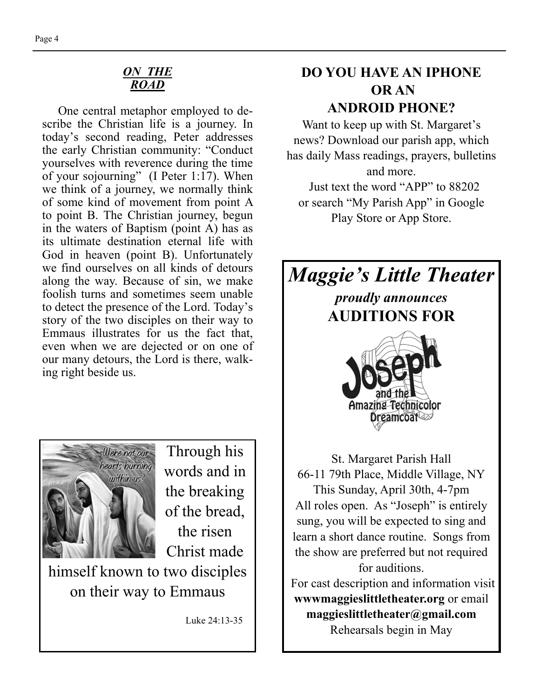#### *ON THE ROAD*

One central metaphor employed to describe the Christian life is a journey. In today's second reading, Peter addresses the early Christian community: "Conduct yourselves with reverence during the time of your sojourning" (I Peter 1:17). When we think of a journey, we normally think of some kind of movement from point A to point B. The Christian journey, begun in the waters of Baptism (point A) has as its ultimate destination eternal life with God in heaven (point B). Unfortunately we find ourselves on all kinds of detours along the way. Because of sin, we make foolish turns and sometimes seem unable to detect the presence of the Lord. Today's story of the two disciples on their way to Emmaus illustrates for us the fact that, even when we are dejected or on one of our many detours, the Lord is there, walking right beside us.



Through his words and in the breaking of the bread, the risen Christ made

himself known to two disciples on their way to Emmaus

Luke 24:13-35

## **DO YOU HAVE AN IPHONE OR AN ANDROID PHONE?**

Want to keep up with St. Margaret's news? Download our parish app, which has daily Mass readings, prayers, bulletins

and more. Just text the word "APP" to 88202 or search "My Parish App" in Google Play Store or App Store.

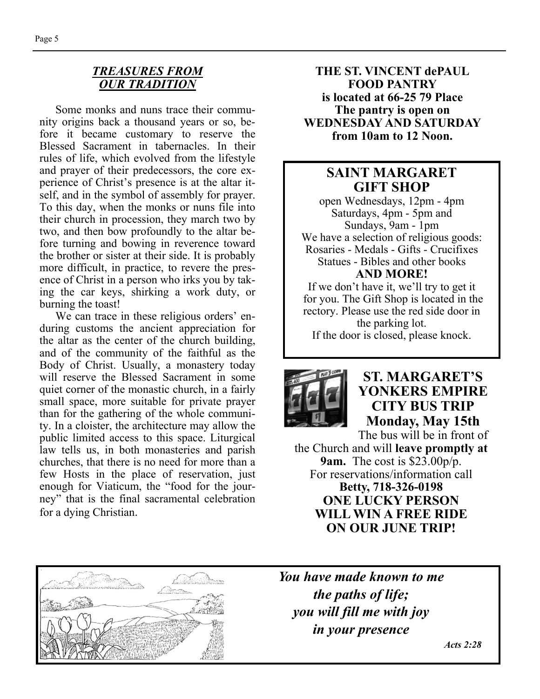#### *TREASURES FROM OUR TRADITION*

Some monks and nuns trace their community origins back a thousand years or so, before it became customary to reserve the Blessed Sacrament in tabernacles. In their rules of life, which evolved from the lifestyle and prayer of their predecessors, the core experience of Christ's presence is at the altar itself, and in the symbol of assembly for prayer. To this day, when the monks or nuns file into their church in procession, they march two by two, and then bow profoundly to the altar before turning and bowing in reverence toward the brother or sister at their side. It is probably more difficult, in practice, to revere the presence of Christ in a person who irks you by taking the car keys, shirking a work duty, or burning the toast!

 We can trace in these religious orders' enduring customs the ancient appreciation for the altar as the center of the church building, and of the community of the faithful as the Body of Christ. Usually, a monastery today will reserve the Blessed Sacrament in some quiet corner of the monastic church, in a fairly small space, more suitable for private prayer than for the gathering of the whole community. In a cloister, the architecture may allow the public limited access to this space. Liturgical law tells us, in both monasteries and parish churches, that there is no need for more than a few Hosts in the place of reservation, just enough for Viaticum, the "food for the journey" that is the final sacramental celebration for a dying Christian.

**THE ST. VINCENT dePAUL FOOD PANTRY is located at 66-25 79 Place The pantry is open on WEDNESDAY AND SATURDAY from 10am to 12 Noon.** 

### **SAINT MARGARET GIFT SHOP**

open Wednesdays, 12pm - 4pm Saturdays, 4pm - 5pm and Sundays, 9am - 1pm We have a selection of religious goods: Rosaries - Medals - Gifts - Crucifixes Statues - Bibles and other books **AND MORE!** 

If we don't have it, we'll try to get it for you. The Gift Shop is located in the rectory. Please use the red side door in the parking lot. If the door is closed, please knock.



**ST. MARGARET'S YONKERS EMPIRE CITY BUS TRIP Monday, May 15th** 

The bus will be in front of the Church and will **leave promptly at 9am.** The cost is \$23.00p/p. For reservations/information call **Betty, 718-326-0198 ONE LUCKY PERSON WILL WIN A FREE RIDE ON OUR JUNE TRIP!** 



*You have made known to me the paths of life; you will fill me with joy in your presence* 

 *Acts 2:28*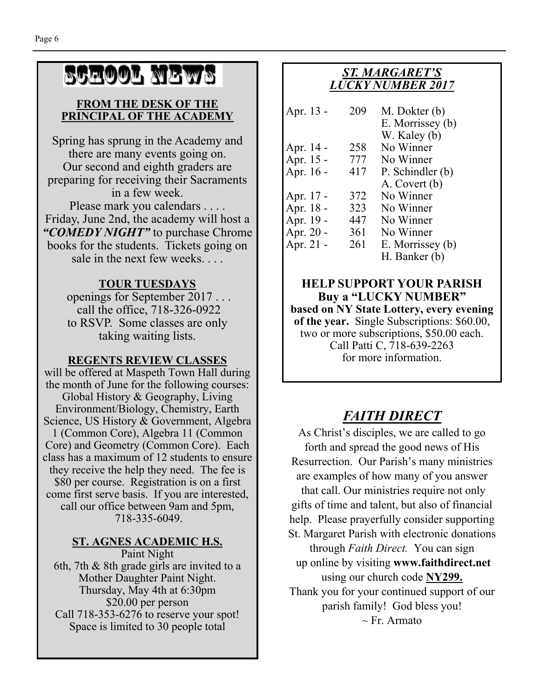# SCHOOL NEWS

#### **FROM THE DESK OF THE PRINCIPAL OF THE ACADEMY**

Spring has sprung in the Academy and there are many events going on. Our second and eighth graders are preparing for receiving their Sacraments in a few week. Please mark you calendars . . . . Friday, June 2nd, the academy will host a *"COMEDY NIGHT"* to purchase Chrome books for the students. Tickets going on sale in the next few weeks. . . .

#### **TOUR TUESDAYS**

 openings for September 2017 . . . call the office, 718-326-0922 to RSVP. Some classes are only taking waiting lists.

#### **REGENTS REVIEW CLASSES**

will be offered at Maspeth Town Hall during the month of June for the following courses: Global History & Geography, Living Environment/Biology, Chemistry, Earth Science, US History & Government, Algebra 1 (Common Core), Algebra 11 (Common Core) and Geometry (Common Core). Each class has a maximum of 12 students to ensure they receive the help they need. The fee is \$80 per course. Registration is on a first come first serve basis. If you are interested, call our office between 9am and 5pm, 718-335-6049.

#### **ST. AGNES ACADEMIC H.S.**

Paint Night 6th, 7th & 8th grade girls are invited to a Mother Daughter Paint Night. Thursday, May 4th at 6:30pm \$20.00 per person Call 718-353-6276 to reserve your spot! Space is limited to 30 people total

#### *ST. MARGARET'S LUCKY NUMBER 2017*

| Apr. 13 - | 209 | M. Dokter (b)<br>E. Morrissey (b)<br>W. Kaley (b) |
|-----------|-----|---------------------------------------------------|
| Apr. 14 - | 258 | No Winner                                         |
| Apr. 15 - | 777 | No Winner                                         |
| Apr. 16 - | 417 | P. Schindler (b)                                  |
|           |     | A. Covert (b)                                     |
| Apr. 17 - | 372 | No Winner                                         |
| Apr. 18 - | 323 | No Winner                                         |
| Apr. 19 - | 447 | No Winner                                         |
| Apr. 20 - | 361 | No Winner                                         |
| Apr. 21 - | 261 | E. Morrissey (b)                                  |
|           |     | H. Banker (b)                                     |

**HELP SUPPORT YOUR PARISH Buy a "LUCKY NUMBER" based on NY State Lottery, every evening of the year.** Single Subscriptions: \$60.00, two or more subscriptions, \$50.00 each. Call Patti C, 718-639-2263 for more information.

# *FAITH DIRECT*

As Christ's disciples, we are called to go forth and spread the good news of His Resurrection. Our Parish's many ministries are examples of how many of you answer that call. Our ministries require not only gifts of time and talent, but also of financial help. Please prayerfully consider supporting St. Margaret Parish with electronic donations through *Faith Direct.* You can sign up online by visiting **www.faithdirect.net**  using our church code **NY299.**  Thank you for your continued support of our parish family! God bless you!  $\sim$  Fr. Armato